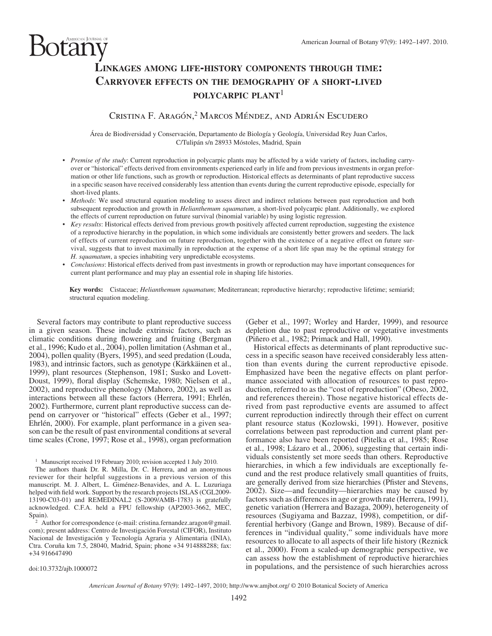# otany  **LINKAGES AMONG LIFE-HISTORY COMPONENTS THROUGH TIME: CARRYOVER EFFECTS ON THE DEMOGRAPHY OF <sup>A</sup> SHORT-LIVED POLYCARPIC PLANT**<sup>1</sup>

## CRISTINA F. ARAGÓN,<sup>2</sup> MARCOS MÉNDEZ, AND ADRIÁN ESCUDERO

Área de Biodiversidad y Conservación, Departamento de Biología y Geología, Universidad Rey Juan Carlos, C/Tulipán s/n 28933 Móstoles, Madrid, Spain

- *Premise of the study* : Current reproduction in polycarpic plants may be affected by a wide variety of factors, including carryover or "historical" effects derived from environments experienced early in life and from previous investments in organ preformation or other life functions, such as growth or reproduction. Historical effects as determinants of plant reproductive success in a specific season have received considerably less attention than events during the current reproductive episode, especially for short-lived plants.
- *Methods*: We used structural equation modeling to assess direct and indirect relations between past reproduction and both subsequent reproduction and growth in *Helianthemum squamatum* , a short-lived polycarpic plant. Additionally, we explored the effects of current reproduction on future survival (binomial variable) by using logistic regression.
- *Key results*: Historical effects derived from previous growth positively affected current reproduction, suggesting the existence of a reproductive hierarchy in the population, in which some individuals are consistently better growers and seeders. The lack of effects of current reproduction on future reproduction, together with the existence of a negative effect on future survival, suggests that to invest maximally in reproduction at the expense of a short life span may be the optimal strategy for *H. squamatum* , a species inhabiting very unpredictable ecosystems.
- *Conclusions* : Historical effects derived from past investments in growth or reproduction may have important consequences for current plant performance and may play an essential role in shaping life histories.

Key words: Cistaceae; *Helianthemum squamatum*; Mediterranean; reproductive hierarchy; reproductive lifetime; semiarid; structural equation modeling.

 Several factors may contribute to plant reproductive success in a given season. These include extrinsic factors, such as climatic conditions during flowering and fruiting (Bergman et al., 1996; Kudo et al., 2004), pollen limitation (Ashman et al., 2004), pollen quality (Byers, 1995), and seed predation (Louda, 1983), and intrinsic factors, such as genotype (Kärkkäinen et al., 1999), plant resources (Stephenson, 1981; Susko and Lovett-Doust, 1999), floral display (Schemske, 1980; Nielsen et al., 2002 ), and reproductive phenology ( Mahoro, 2002 ), as well as interactions between all these factors (Herrera, 1991; Ehrlén, 2002). Furthermore, current plant reproductive success can depend on carryover or "historical" effects (Geber et al., 1997; Ehrlén, 2000). For example, plant performance in a given season can be the result of past environmental conditions at several time scales (Crone, 1997; Rose et al., 1998), organ preformation

<sup>1</sup> Manuscript received 19 February 2010; revision accepted 1 July 2010.

 The authors thank Dr. R. Milla, Dr. C. Herrera, and an anonymous reviewer for their helpful suggestions in a previous version of this manuscript. M. J. Albert, L. Giménez-Benavides, and A. L. Luzuriaga helped with field work. Support by the research projects ISLAS (CGL2009-13190-C03-01) and REMEDINAL2 (S-2009/AMB-1783) is gratefully acknowledged. C.F.A. held a FPU fellowship (AP2003-3662, MEC,

<sup>2</sup> Author for correspondence (e-mail: cristina.fernandez.aragon@gmail. com); present address: Centro de Investigación Forestal (CIFOR), Instituto Nacional de Investigación y Tecnología Agraria y Alimentaria (INIA), Ctra. Coruña km 7.5, 28040, Madrid, Spain; phone +34 914888288; fax: +34 916647490

(Geber et al., 1997; Worley and Harder, 1999), and resource depletion due to past reproductive or vegetative investments (Piñero et al., 1982; Primack and Hall, 1990).

 Historical effects as determinants of plant reproductive success in a specific season have received considerably less attention than events during the current reproductive episode. Emphasized have been the negative effects on plant performance associated with allocation of resources to past reproduction, referred to as the "cost of reproduction" (Obeso, 2002, and references therein). Those negative historical effects derived from past reproductive events are assumed to affect current reproduction indirectly through their effect on current plant resource status (Kozlowski, 1991). However, positive correlations between past reproduction and current plant performance also have been reported (Pitelka et al., 1985; Rose et al., 1998; Lázaro et al., 2006), suggesting that certain individuals consistently set more seeds than others. Reproductive hierarchies, in which a few individuals are exceptionally fecund and the rest produce relatively small quantities of fruits, are generally derived from size hierarchies (Pfister and Stevens, 2002). Size—and fecundity—hierarchies may be caused by factors such as differences in age or growth rate (Herrera, 1991), genetic variation ( Herrera and Bazaga, 2009 ), heterogeneity of resources (Sugiyama and Bazzaz, 1998), competition, or differential herbivory (Gange and Brown, 1989). Because of differences in "individual quality," some individuals have more resources to allocate to all aspects of their life history ( Reznick et al., 2000). From a scaled-up demographic perspective, we can assess how the establishment of reproductive hierarchies in populations, and the persistence of such hierarchies across

doi:10.3732/ajb.1000072

*American Journal of Botany* 97(9): 1492–1497, 2010; http://www.amjbot.org/ © 2010 Botanical Society of America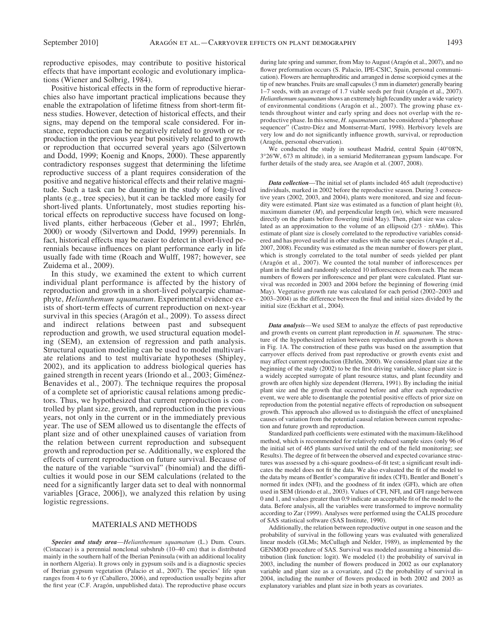reproductive episodes, may contribute to positive historical effects that have important ecologic and evolutionary implications (Wiener and Solbrig, 1984).

 Positive historical effects in the form of reproductive hierarchies also have important practical implications because they enable the extrapolation of lifetime fitness from short-term fitness studies. However, detection of historical effects, and their signs, may depend on the temporal scale considered. For instance, reproduction can be negatively related to growth or reproduction in the previous year but positively related to growth or reproduction that occurred several years ago (Silvertown and Dodd, 1999; Koenig and Knops, 2000). These apparently contradictory responses suggest that determining the lifetime reproductive success of a plant requires consideration of the positive and negative historical effects and their relative magnitude. Such a task can be daunting in the study of long-lived plants (e.g., tree species), but it can be tackled more easily for short-lived plants. Unfortunately, most studies reporting historical effects on reproductive success have focused on longlived plants, either herbaceous (Geber et al., 1997; Ehrlén, 2000) or woody (Silvertown and Dodd, 1999) perennials. In fact, historical effects may be easier to detect in short-lived perennials because influences on plant performance early in life usually fade with time (Roach and Wulff, 1987; however, see Zuidema et al., 2009).

 In this study, we examined the extent to which current individual plant performance is affected by the history of reproduction and growth in a short-lived polycarpic chamaephyte, *Helianthemum squamatum* . Experimental evidence exists of short-term effects of current reproduction on next-year survival in this species (Aragón et al., 2009). To assess direct and indirect relations between past and subsequent reproduction and growth, we used structural equation modeling (SEM), an extension of regression and path analysis. Structural equation modeling can be used to model multivariate relations and to test multivariate hypotheses (Shipley, 2002), and its application to address biological queries has gained strength in recent years (Iriondo et al., 2003; Giménez-Benavides et al., 2007). The technique requires the proposal of a complete set of aprioristic causal relations among predictors. Thus, we hypothesized that current reproduction is controlled by plant size, growth, and reproduction in the previous years, not only in the current or in the immediately previous year. The use of SEM allowed us to disentangle the effects of plant size and of other unexplained causes of variation from the relation between current reproduction and subsequent growth and reproduction per se. Additionally, we explored the effects of current reproduction on future survival. Because of the nature of the variable "survival" (binomial) and the difficulties it would pose in our SEM calculations (related to the need for a significantly larger data set to deal with nonnormal variables [Grace, 2006]), we analyzed this relation by using logistic regressions.

#### MATERIALS AND METHODS

*Species and study area* —*Helianthemum squamatum* (L.) Dum. Cours. (Cistaceae) is a perennial nonclonal subshrub  $(10-40 \text{ cm})$  that is distributed mainly in the southern half of the Iberian Peninsula (with an additional locality in northern Algeria). It grows only in gypsum soils and is a diagnostic species of Iberian gypsum vegetation (Palacio et al., 2007). The species' life span ranges from 4 to 6 yr (Caballero, 2006), and reproduction usually begins after the first year (C.F. Aragón, unpublished data). The reproductive phase occurs

during late spring and summer, from May to August (Aragón et al., 2007), and no flower preformation occurs (S. Palacio, IPE-CSIC, Spain, personal communication). Flowers are hermaphroditic and arranged in dense scorpioid cymes at the tip of new branches. Fruits are small capsules (3 mm in diameter) generally bearing 1–7 seeds, with an average of 1.7 viable seeds per fruit (Aragon et al., 2007). *Helianthemum squamatum* shows an extremely high fecundity under a wide variety of environmental conditions (Aragón et al., 2007). The growing phase extends throughout winter and early spring and does not overlap with the reproductive phase. In this sense, *H. squamatum* can be considered a "phenophase sequencer" (Castro-Díez and Montserrat-Martí, 1998). Herbivory levels are very low and do not significantly influence growth, survival, or reproduction (Aragón, personal observation).

We conducted the study in southeast Madrid, central Spain (40°08'N, 3 ° 26 ′ W , 673 m altitude), in a semiarid Mediterranean gypsum landscape. For further details of the study area, see Aragón et al. (2007, 2008).

*Data collection*—The initial set of plants included 465 adult (reproductive) individuals, marked in 2002 before the reproductive season. During 3 consecutive years (2002, 2003, and 2004), plants were monitored, and size and fecundity were estimated. Plant size was estimated as a function of plant height (*h*), maximum diameter  $(M)$ , and perpendicular length  $(m)$ , which were measured directly on the plants before flowering (mid May). Then, plant size was calculated as an approximation to the volume of an ellipsoid  $(2/3 \cdot \pi h Mm)$ . This estimate of plant size is closely correlated to the reproductive variables considered and has proved useful in other studies with the same species (Aragón et al., 2007, 2008). Fecundity was estimated as the mean number of flowers per plant, which is strongly correlated to the total number of seeds yielded per plant (Aragón et al., 2007). We counted the total number of inflorescences per plant in the field and randomly selected 10 inflorescences from each. The mean numbers of flowers per inflorescence and per plant were calculated. Plant survival was recorded in 2003 and 2004 before the beginning of flowering (mid May). Vegetative growth rate was calculated for each period (2002–2003 and 2003-2004) as the difference between the final and initial sizes divided by the initial size (Eckhart et al., 2004).

*Data analysis* — We used SEM to analyze the effects of past reproductive and growth events on current plant reproduction in *H. squamatum*. The structure of the hypothesized relation between reproduction and growth is shown in Fig. 1A . The construction of these paths was based on the assumption that carryover effects derived from past reproductive or growth events exist and may affect current reproduction (Ehrlén, 2000). We considered plant size at the beginning of the study (2002) to be the first driving variable, since plant size is a widely accepted surrogate of plant resource status, and plant fecundity and growth are often highly size dependent (Herrera, 1991). By including the initial plant size and the growth that occurred before and after each reproductive event, we were able to disentangle the potential positive effects of prior size on reproduction from the potential negative effects of reproduction on subsequent growth. This approach also allowed us to distinguish the effect of unexplained causes of variation from the potential causal relation between current reproduction and future growth and reproduction.

Standardized path coefficients were estimated with the maximum-likelihood method, which is recommended for relatively reduced sample sizes (only 96 of the initial set of 465 plants survived until the end of the field monitoring; see Results). The degree of fit between the observed and expected covariance structures was assessed by a chi-square goodness-of-fit test; a significant result indicates the model does not fit the data. We also evaluated the fit of the model to the data by means of Bentler's comparative fit index (CFI), Bentler and Bonett's normed fit index (NFI), and the goodness of fit index (GFI), which are often used in SEM ( Iriondo et al., 2003 ). Values of CFI, NFI, and GFI range between 0 and 1, and values greater than 0.9 indicate an acceptable fi t of the model to the data. Before analysis, all the variables were transformed to improve normality according to Zar (1999) . Analyses were performed using the CALIS procedure of SAS statistical software (SAS Institute, 1990).

 Additionally, the relation between reproductive output in one season and the probability of survival in the following years was evaluated with generalized linear models (GLMs; McCullagh and Nelder, 1989), as implemented by the GENMOD procedure of SAS. Survival was modeled assuming a binomial distribution (link function: logit). We modeled (1) the probability of survival in 2003, including the number of flowers produced in 2002 as our explanatory variable and plant size as a covariate, and (2) the probability of survival in 2004, including the number of flowers produced in both 2002 and 2003 as explanatory variables and plant size in both years as covariates.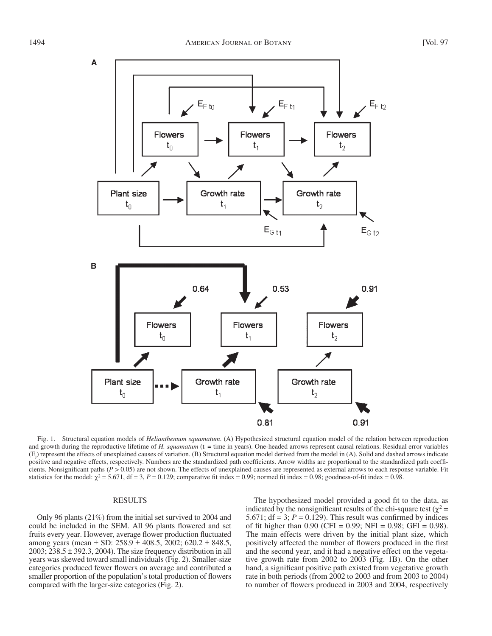

 Fig. 1. Structural equation models of *Helianthemum squamatum* . (A) Hypothesized structural equation model of the relation between reproduction and growth during the reproductive lifetime of  $H$ . squamatum  $(t_i = time$  in years). One-headed arrows represent causal relations. Residual error variables  $(E_j)$  represent the effects of unexplained causes of variation. (B) Structural equation model derived from the model in (A). Solid and dashed arrows indicate positive and negative effects, respectively. Numbers are the standardized path coefficients. Arrow widths are proportional to the standardized path coefficients. Nonsignificant paths ( $P > 0.05$ ) are not shown. The effects of unexplained causes are represented as external arrows to each response variable. Fit statistics for the model:  $\chi^2$  = 5.671, df = 3, *P* = 0.129; comparative fit index = 0.99; normed fit index = 0.98; goodness-of-fit index = 0.98.

### RESULTS

 Only 96 plants (21%) from the initial set survived to 2004 and could be included in the SEM. All 96 plants flowered and set fruits every year. However, average flower production fluctuated among years (mean  $\pm$  SD: 258.9  $\pm$  408.5, 2002; 620.2  $\pm$  848.5,  $2003$ ;  $238.5 \pm 392.3$ ,  $2004$ ). The size frequency distribution in all years was skewed toward small individuals (Fig. 2). Smaller-size categories produced fewer flowers on average and contributed a smaller proportion of the population's total production of flowers compared with the larger-size categories (Fig. 2).

The hypothesized model provided a good fit to the data, as indicated by the nonsignificant results of the chi-square test ( $\chi^2$  = 5.671;  $df = 3$ ;  $P = 0.129$ ). This result was confirmed by indices of fit higher than 0.90 (CFI = 0.99; NFI = 0.98; GFI = 0.98). The main effects were driven by the initial plant size, which positively affected the number of flowers produced in the first and the second year, and it had a negative effect on the vegetative growth rate from 2002 to 2003 (Fig. 1B). On the other hand, a significant positive path existed from vegetative growth rate in both periods (from 2002 to 2003 and from 2003 to 2004) to number of flowers produced in 2003 and 2004, respectively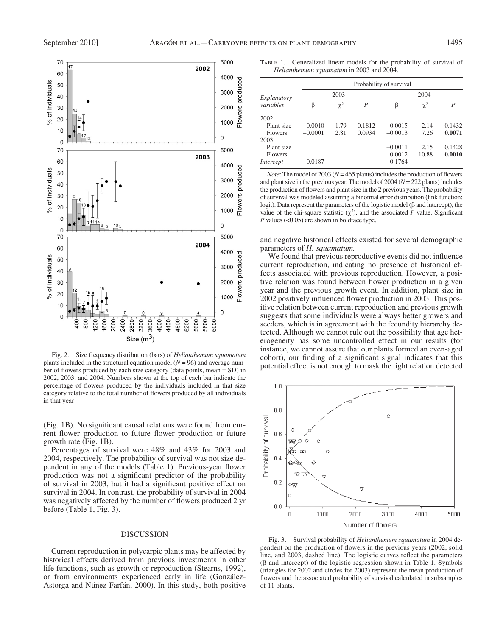

 Fig. 2. Size frequency distribution (bars) of *Helianthemum squamatum* plants included in the structural equation model  $(N = 96)$  and average number of flowers produced by each size category (data points, mean  $\pm$  SD) in 2002, 2003, and 2004. Numbers shown at the top of each bar indicate the percentage of flowers produced by the individuals included in that size category relative to the total number of flowers produced by all individuals in that year

(Fig. 1B). No significant causal relations were found from current flower production to future flower production or future growth rate ( $Fig. 1B$ ).

 Percentages of survival were 48% and 43% for 2003 and 2004, respectively. The probability of survival was not size dependent in any of the models (Table 1). Previous-year flower production was not a significant predictor of the probability of survival in 2003, but it had a significant positive effect on survival in 2004. In contrast, the probability of survival in 2004 was negatively affected by the number of flowers produced 2 yr before (Table 1, Fig. 3).

#### DISCUSSION

 Current reproduction in polycarpic plants may be affected by historical effects derived from previous investments in other life functions, such as growth or reproduction (Stearns, 1992), or from environments experienced early in life (González-Astorga and Núñez-Farfán, 2000). In this study, both positive

 Table 1. Generalized linear models for the probability of survival of *Helianthemum squamatum* in 2003 and 2004.

| Explanatory<br>variables | Probability of survival |          |        |           |          |        |
|--------------------------|-------------------------|----------|--------|-----------|----------|--------|
|                          | 2003                    |          |        | 2004      |          |        |
|                          | ß                       | $\chi^2$ | P      | β         | $\chi^2$ | P      |
| 2002                     |                         |          |        |           |          |        |
| Plant size               | 0.0010                  | 1.79     | 0.1812 | 0.0015    | 2.14     | 0.1432 |
| <b>Flowers</b>           | $-0.0001$               | 2.81     | 0.0934 | $-0.0013$ | 7.26     | 0.0071 |
| 2003                     |                         |          |        |           |          |        |
| Plant size               |                         |          |        | $-0.0011$ | 2.15     | 0.1428 |
| <b>Flowers</b>           |                         |          |        | 0.0012    | 10.88    | 0.0010 |
| Intercept                | $-0.0187$               |          |        | $-0.1764$ |          |        |

*Note*: The model of 2003 ( $N = 465$  plants) includes the production of flowers and plant size in the previous year. The model of  $2004 (N = 222$  plants) includes the production of flowers and plant size in the 2 previous years. The probability of survival was modeled assuming a binomial error distribution (link function: logit). Data represent the parameters of the logistic model ( $β$  and intercept), the value of the chi-square statistic  $(\chi^2)$ , and the associated *P* value. Significant  $P$  values  $( $0.05$ )$  are shown in boldface type.

and negative historical effects existed for several demographic parameters of *H. squamatum.*

We found that previous reproductive events did not influence current reproduction, indicating no presence of historical effects associated with previous reproduction. However, a positive relation was found between flower production in a given year and the previous growth event. In addition, plant size in 2002 positively influenced flower production in 2003. This positive relation between current reproduction and previous growth suggests that some individuals were always better growers and seeders, which is in agreement with the fecundity hierarchy detected. Although we cannot rule out the possibility that age heterogeneity has some uncontrolled effect in our results (for instance, we cannot assure that our plants formed an even-aged cohort), our finding of a significant signal indicates that this potential effect is not enough to mask the tight relation detected



 Fig. 3. Survival probability of *Helianthemum squamatum* in 2004 dependent on the production of flowers in the previous years (2002, solid line, and 2003, dashed line). The logistic curves reflect the parameters  $(β$  and intercept) of the logistic regression shown in Table 1. Symbols (triangles for 2002 and circles for 2003) represent the mean production of flowers and the associated probability of survival calculated in subsamples of 11 plants.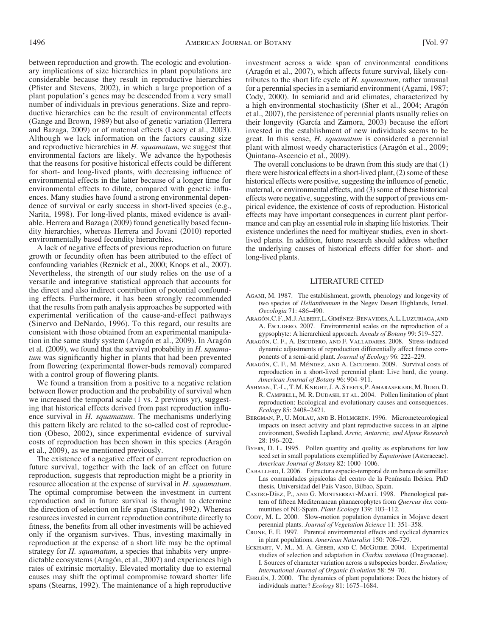plant population's genes may be descended from a very small number of individuals in previous generations. Size and reproductive hierarchies can be the result of environmental effects ( Gange and Brown, 1989 ) but also of genetic variation ( Herrera and Bazaga, 2009) or of maternal effects (Lacey et al., 2003). Although we lack information on the factors causing size and reproductive hierarchies in *H. squamatum*, we suggest that environmental factors are likely. We advance the hypothesis that the reasons for positive historical effects could be different for short- and long-lived plants, with decreasing influence of environmental effects in the latter because of a longer time for environmental effects to dilute, compared with genetic influences. Many studies have found a strong environmental dependence of survival or early success in short-lived species (e.g., Narita, 1998). For long-lived plants, mixed evidence is available. Herrera and Bazaga (2009) found genetically based fecundity hierarchies, whereas Herrera and Jovani (2010) reported environmentally based fecundity hierarchies.

 A lack of negative effects of previous reproduction on future growth or fecundity often has been attributed to the effect of confounding variables (Reznick et al., 2000; Knops et al., 2007). Nevertheless, the strength of our study relies on the use of a versatile and integrative statistical approach that accounts for the direct and also indirect contribution of potential confounding effects. Furthermore, it has been strongly recommended that the results from path analysis approaches be supported with experimental verification of the cause-and-effect pathways (Sinervo and DeNardo, 1996). To this regard, our results are consistent with those obtained from an experimental manipulation in the same study system (Aragón et al., 2009). In Aragón et al. (2009) , we found that the survival probability in *H. squamatum* was significantly higher in plants that had been prevented from flowering (experimental flower-buds removal) compared with a control group of flowering plants.

 We found a transition from a positive to a negative relation between flower production and the probability of survival when we increased the temporal scale (1 vs. 2 previous yr), suggesting that historical effects derived from past reproduction influence survival in *H. squamatum*. The mechanisms underlying this pattern likely are related to the so-called cost of reproduction (Obeso, 2002), since experimental evidence of survival costs of reproduction has been shown in this species (Aragón et al., 2009), as we mentioned previously.

 The existence of a negative effect of current reproduction on future survival, together with the lack of an effect on future reproduction, suggests that reproduction might be a priority in resource allocation at the expense of survival in *H. squamatum* . The optimal compromise between the investment in current reproduction and in future survival is thought to determine the direction of selection on life span (Stearns, 1992). Whereas resources invested in current reproduction contribute directly to fitness, the benefits from all other investments will be achieved only if the organism survives. Thus, investing maximally in reproduction at the expense of a short life may be the optimal strategy for *H. squamatum*, a species that inhabits very unpredictable ecosystems (Aragón, et al., 2007) and experiences high rates of extrinsic mortality. Elevated mortality due to external causes may shift the optimal compromise toward shorter life spans (Stearns, 1992). The maintenance of a high reproductive

investment across a wide span of environmental conditions (Aragón et al., 2007), which affects future survival, likely contributes to the short life cycle of *H. squamatum*, rather unusual for a perennial species in a semiarid environment (Agami, 1987; Cody, 2000). In semiarid and arid climates, characterized by a high environmental stochasticity (Sher et al., 2004; Aragón et al., 2007 ), the persistence of perennial plants usually relies on their longevity (García and Zamora, 2003) because the effort invested in the establishment of new individuals seems to be great. In this sense, *H. squamatum* is considered a perennial plant with almost weedy characteristics (Aragón et al., 2009; Quintana-Ascencio et al., 2009 ).

 The overall conclusions to be drawn from this study are that (1) there were historical effects in a short-lived plant, (2) some of these historical effects were positive, suggesting the influence of genetic, maternal, or environmental effects, and (3) some of these historical effects were negative, suggesting, with the support of previous empirical evidence, the existence of costs of reproduction. Historical effects may have important consequences in current plant performance and can play an essential role in shaping life histories. Their existence underlines the need for multiyear studies, even in shortlived plants. In addition, future research should address whether the underlying causes of historical effects differ for short- and long-lived plants.

#### LITERATURE CITED

- AGAMI, M. 1987. The establishment, growth, phenology and longevity of two species of *Helianthemum* in the Negev Desert Highlands, Israel. *Oecologia* 71: 486–490.
- ARAGÓN, C.F., M.J. ALBERT, L. GIMÉNEZ-BENAVIDES, A.L. LUZURIAGA, AND A. Escudero. 2007. Environmental scales on the reproduction of a gypsophyte: A hierarchical approach. Annals of Botany 99: 519-527.
- ARAGÓN, C. F., A. Escudero, AND F. VALLADARES. 2008. Stress-induced dynamic adjustments of reproduction differentially affect fitness components of a semi-arid plant. *Journal of Ecology* 96: 222-229.
- ARAGÓN, C. F., M. MÉNDEZ, AND A. ESCUDERO. 2009. Survival costs of reproduction in a short-lived perennial plant: Live hard, die young. *American Journal of Botany* 96 : 904 – 911 .
- Ashman, T.-L., T. M. Knight, J. A. Steets, P. Amarasekare, M. Burd, D. R. CAMPBELL, M. R. DUDASH, ET AL. 2004. Pollen limitation of plant reproduction: Ecological and evolutionary causes and consequences. *Ecology* 85: 2408-2421.
- BERGMAN, P., U. MOLAU, AND B. HOLMGREN. 1996. Micrometeorological impacts on insect activity and plant reproductive success in an alpine environment, Swedish Lapland. *Arctic, Antarctic, and Alpine Research* 28: 196-202.
- BYERS, D. L. 1995. Pollen quantity and quality as explanations for low seed set in small populations exemplified by *Eupatorium* (Asteraceae). American Journal of Botany 82: 1000-1006.
- CABALLERO, I. 2006. Estructura espacio-temporal de un banco de semillas: Las comunidades gipsícolas del centro de la Península Ibérica. PhD thesis, Universidad del País Vasco, Bilbao, Spain.
- CASTRO-DÍEZ, P., AND G. MONTSERRAT-MARTÍ. 1998. Phenological pattern of fifteen Mediterranean phanaerophytes from *Quercus ilex* communities of NE-Spain. *Plant Ecology* 139: 103-112.
- Cody, M. L. 2000. Slow-motion population dynamics in Mojave desert perennial plants. *Journal of Vegetation Science* 11: 351-358.
- Crone, E. E. 1997 . Parental environmental effects and cyclical dynamics in plant populations. *American Naturalist* 150: 708-729.
- ECKHART, V. M., M. A. GEBER, AND C. McGUIRE. 2004. Experimental studies of selection and adaptation in *Clarkia xantiana* (Onagraceae). I. Sources of character variation across a subspecies border. *Evolution;*  International Journal of Organic Evolution 58: 59-70.
- EHRLÉN, J. 2000. The dynamics of plant populations: Does the history of individuals matter? *Ecology* 81: 1675-1684.